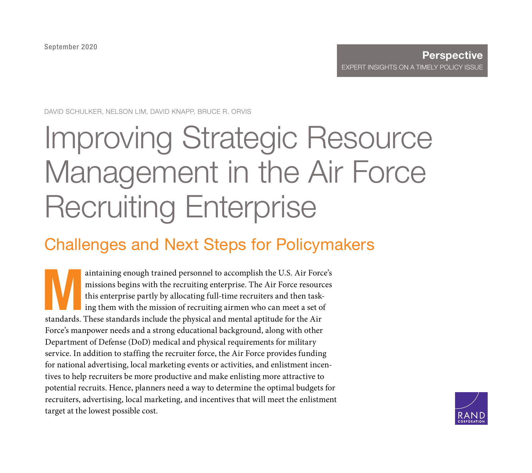DAVID SCHULKER, NELSON LIM, DAVID KNAPP, BRUCE R. ORVIS

# [Improving Strategic Resource](https://www.rand.org/pubs/perspectives/PEA304-1.html)  Management in the Air Force Recruiting Enterprise

## Challenges and Next Steps for Policymakers

aintaining enough trained personnel to accomplish the U.S. Air Force's<br>missions begins with the recruiting enterprise. The Air Force resources<br>this enterprise partly by allocating full-time recruiters and then task-<br>ing th missions begins with the recruiting enterprise. The Air Force resources this enterprise partly by allocating full-time recruiters and then tasking them with the mission of recruiting airmen who can meet a set of standards. These standards include the physical and mental aptitude for the Air Force's manpower needs and a strong educational background, along with other Department of Defense (DoD) medical and physical requirements for military service. In addition to staffing the recruiter force, the Air Force provides funding for national advertising, local marketing events or activities, and enlistment incentives to help recruiters be more productive and make enlisting more attractive to potential recruits. Hence, planners need a way to determine the optimal budgets for recruiters, advertising, local marketing, and incentives that will meet the enlistment target at the lowest possible cost.

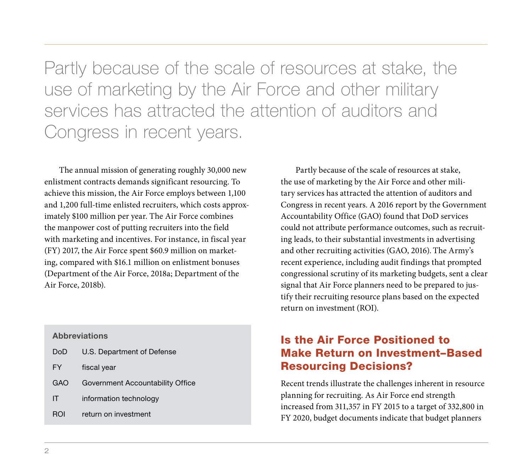Partly because of the scale of resources at stake, the use of marketing by the Air Force and other military services has attracted the attention of auditors and Congress in recent years.

The annual mission of generating roughly 30,000 new enlistment contracts demands significant resourcing. To achieve this mission, the Air Force employs between 1,100 and 1,200 full-time enlisted recruiters, which costs approximately \$100 million per year. The Air Force combines the manpower cost of putting recruiters into the field with marketing and incentives. For instance, in fiscal year (FY) 2017, the Air Force spent \$60.9 million on marketing, compared with \$16.1 million on enlistment bonuses (Department of the Air Force, 2018a; Department of the Air Force, 2018b).

#### **Abbreviations**

| <b>DoD</b> | U.S. Department of Defense       |
|------------|----------------------------------|
| <b>FY</b>  | fiscal year                      |
| GAO        | Government Accountability Office |
| IT         | information technology           |
| ROI        | return on investment             |

Partly because of the scale of resources at stake, the use of marketing by the Air Force and other military services has attracted the attention of auditors and Congress in recent years. A 2016 report by the Government Accountability Office (GAO) found that DoD services could not attribute performance outcomes, such as recruiting leads, to their substantial investments in advertising and other recruiting activities (GAO, 2016). The Army's recent experience, including audit findings that prompted congressional scrutiny of its marketing budgets, sent a clear signal that Air Force planners need to be prepared to justify their recruiting resource plans based on the expected return on investment (ROI).

## Is the Air Force Positioned to Make Return on Investment–Based Resourcing Decisions?

Recent trends illustrate the challenges inherent in resource planning for recruiting. As Air Force end strength increased from 311,357 in FY 2015 to a target of 332,800 in FY 2020, budget documents indicate that budget planners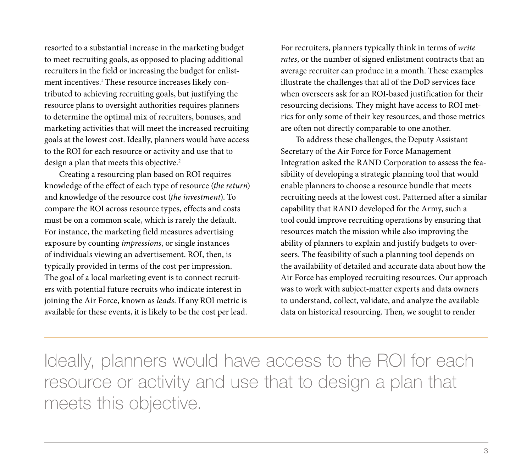resorted to a substantial increase in the marketing budget to meet recruiting goals, as opposed to placing additional recruiters in the field or increasing the budget for enlistment incentives.<sup>1</sup> These resource increases likely contributed to achieving recruiting goals, but justifying the resource plans to oversight authorities requires planners to determine the optimal mix of recruiters, bonuses, and marketing activities that will meet the increased recruiting goals at the lowest cost. Ideally, planners would have access to the ROI for each resource or activity and use that to design a plan that meets this objective.<sup>2</sup>

Creating a resourcing plan based on ROI requires knowledge of the effect of each type of resource (*the return*) and knowledge of the resource cost (*the investment*). To compare the ROI across resource types, effects and costs must be on a common scale, which is rarely the default. For instance, the marketing field measures advertising exposure by counting *impressions*, or single instances of individuals viewing an advertisement. ROI, then, is typically provided in terms of the cost per impression. The goal of a local marketing event is to connect recruiters with potential future recruits who indicate interest in joining the Air Force, known as *leads*. If any ROI metric is available for these events, it is likely to be the cost per lead.

For recruiters, planners typically think in terms of *write rates*, or the number of signed enlistment contracts that an average recruiter can produce in a month. These examples illustrate the challenges that all of the DoD services face when overseers ask for an ROI-based justification for their resourcing decisions. They might have access to ROI metrics for only some of their key resources, and those metrics are often not directly comparable to one another.

To address these challenges, the Deputy Assistant Secretary of the Air Force for Force Management Integration asked the RAND Corporation to assess the feasibility of developing a strategic planning tool that would enable planners to choose a resource bundle that meets recruiting needs at the lowest cost. Patterned after a similar capability that RAND developed for the Army, such a tool could improve recruiting operations by ensuring that resources match the mission while also improving the ability of planners to explain and justify budgets to overseers. The feasibility of such a planning tool depends on the availability of detailed and accurate data about how the Air Force has employed recruiting resources. Our approach was to work with subject-matter experts and data owners to understand, collect, validate, and analyze the available data on historical resourcing. Then, we sought to render

Ideally, planners would have access to the ROI for each resource or activity and use that to design a plan that meets this objective.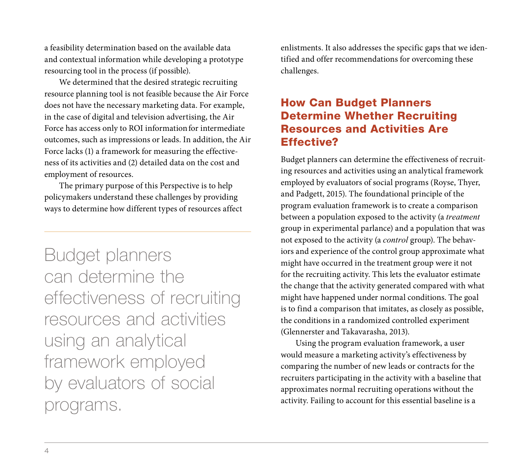a feasibility determination based on the available data and contextual information while developing a prototype resourcing tool in the process (if possible).

We determined that the desired strategic recruiting resource planning tool is not feasible because the Air Force does not have the necessary marketing data. For example, in the case of digital and television advertising, the Air Force has access only to ROI information for intermediate outcomes, such as impressions or leads. In addition, the Air Force lacks (1) a framework for measuring the effectiveness of its activities and (2) detailed data on the cost and employment of resources.

The primary purpose of this Perspective is to help policymakers understand these challenges by providing ways to determine how different types of resources affect

Budget planners can determine the effectiveness of recruiting resources and activities using an analytical framework employed by evaluators of social programs.

enlistments. It also addresses the specific gaps that we identified and offer recommendations for overcoming these challenges.

## How Can Budget Planners Determine Whether Recruiting Resources and Activities Are Effective?

Budget planners can determine the effectiveness of recruiting resources and activities using an analytical framework employed by evaluators of social programs (Royse, Thyer, and Padgett, 2015). The foundational principle of the program evaluation framework is to create a comparison between a population exposed to the activity (a *treatment* group in experimental parlance) and a population that was not exposed to the activity (a *control* group). The behaviors and experience of the control group approximate what might have occurred in the treatment group were it not for the recruiting activity. This lets the evaluator estimate the change that the activity generated compared with what might have happened under normal conditions. The goal is to find a comparison that imitates, as closely as possible, the conditions in a randomized controlled experiment (Glennerster and Takavarasha, 2013).

Using the program evaluation framework, a user would measure a marketing activity's effectiveness by comparing the number of new leads or contracts for the recruiters participating in the activity with a baseline that approximates normal recruiting operations without the activity. Failing to account for this essential baseline is a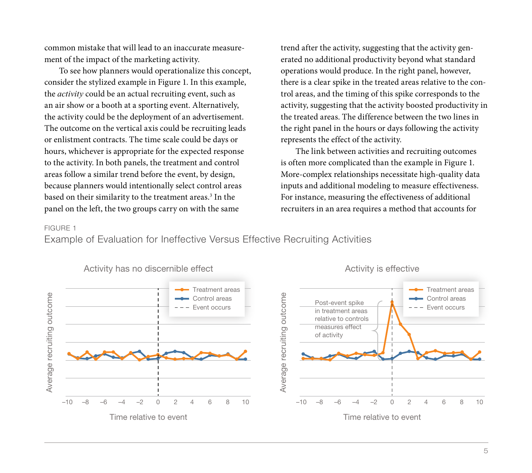common mistake that will lead to an inaccurate measurement of the impact of the marketing activity.

To see how planners would operationalize this concept, consider the stylized example in Figure 1. In this example, the *activity* could be an actual recruiting event, such as an air show or a booth at a sporting event. Alternatively, the activity could be the deployment of an advertisement. The outcome on the vertical axis could be recruiting leads or enlistment contracts. The time scale could be days or hours, whichever is appropriate for the expected response to the activity. In both panels, the treatment and control areas follow a similar trend before the event, by design, because planners would intentionally select control areas based on their similarity to the treatment areas.<sup>3</sup> In the panel on the left, the two groups carry on with the same

trend after the activity, suggesting that the activity generated no additional productivity beyond what standard operations would produce. In the right panel, however, there is a clear spike in the treated areas relative to the control areas, and the timing of this spike corresponds to the activity, suggesting that the activity boosted productivity in the treated areas. The difference between the two lines in the right panel in the hours or days following the activity represents the effect of the activity.

The link between activities and recruiting outcomes is often more complicated than the example in Figure 1. More-complex relationships necessitate high-quality data inputs and additional modeling to measure effectiveness. For instance, measuring the effectiveness of additional recruiters in an area requires a method that accounts for

#### FIGURE 1

Example of Evaluation for Ineffective Versus Effective Recruiting Activities

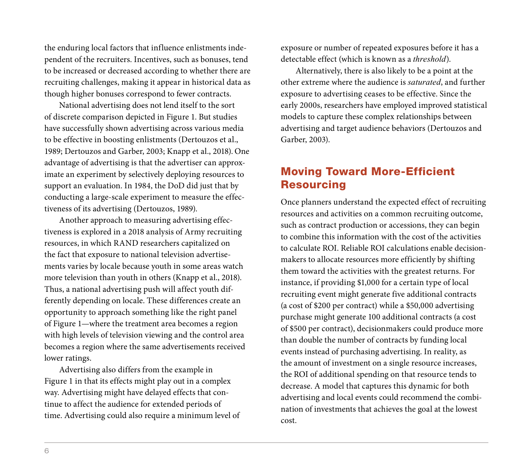the enduring local factors that influence enlistments independent of the recruiters. Incentives, such as bonuses, tend to be increased or decreased according to whether there are recruiting challenges, making it appear in historical data as though higher bonuses correspond to fewer contracts.

National advertising does not lend itself to the sort of discrete comparison depicted in Figure 1. But studies have successfully shown advertising across various media to be effective in boosting enlistments (Dertouzos et al., 1989; Dertouzos and Garber, 2003; Knapp et al., 2018). One advantage of advertising is that the advertiser can approximate an experiment by selectively deploying resources to support an evaluation. In 1984, the DoD did just that by conducting a large-scale experiment to measure the effectiveness of its advertising (Dertouzos, 1989).

Another approach to measuring advertising effectiveness is explored in a 2018 analysis of Army recruiting resources, in which RAND researchers capitalized on the fact that exposure to national television advertisements varies by locale because youth in some areas watch more television than youth in others (Knapp et al., 2018). Thus, a national advertising push will affect youth differently depending on locale. These differences create an opportunity to approach something like the right panel of Figure 1—where the treatment area becomes a region with high levels of television viewing and the control area becomes a region where the same advertisements received lower ratings.

Advertising also differs from the example in Figure 1 in that its effects might play out in a complex way. Advertising might have delayed effects that continue to affect the audience for extended periods of time. Advertising could also require a minimum level of exposure or number of repeated exposures before it has a detectable effect (which is known as a *threshold*).

Alternatively, there is also likely to be a point at the other extreme where the audience is *saturated*, and further exposure to advertising ceases to be effective. Since the early 2000s, researchers have employed improved statistical models to capture these complex relationships between advertising and target audience behaviors (Dertouzos and Garber, 2003).

## Moving Toward More-Efficient Resourcing

Once planners understand the expected effect of recruiting resources and activities on a common recruiting outcome, such as contract production or accessions, they can begin to combine this information with the cost of the activities to calculate ROI. Reliable ROI calculations enable decisionmakers to allocate resources more efficiently by shifting them toward the activities with the greatest returns. For instance, if providing \$1,000 for a certain type of local recruiting event might generate five additional contracts (a cost of \$200 per contract) while a \$50,000 advertising purchase might generate 100 additional contracts (a cost of \$500 per contract), decisionmakers could produce more than double the number of contracts by funding local events instead of purchasing advertising. In reality, as the amount of investment on a single resource increases, the ROI of additional spending on that resource tends to decrease. A model that captures this dynamic for both advertising and local events could recommend the combination of investments that achieves the goal at the lowest cost.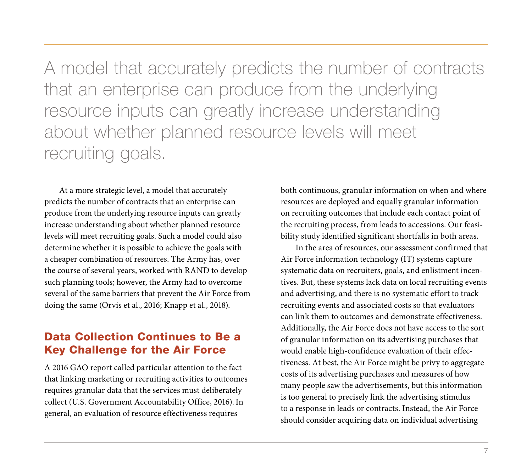A model that accurately predicts the number of contracts that an enterprise can produce from the underlying resource inputs can greatly increase understanding about whether planned resource levels will meet recruiting goals.

At a more strategic level, a model that accurately predicts the number of contracts that an enterprise can produce from the underlying resource inputs can greatly increase understanding about whether planned resource levels will meet recruiting goals. Such a model could also determine whether it is possible to achieve the goals with a cheaper combination of resources. The Army has, over the course of several years, worked with RAND to develop such planning tools; however, the Army had to overcome several of the same barriers that prevent the Air Force from doing the same (Orvis et al., 2016; Knapp et al., 2018).

## Data Collection Continues to Be a Key Challenge for the Air Force

A 2016 GAO report called particular attention to the fact that linking marketing or recruiting activities to outcomes requires granular data that the services must deliberately collect (U.S. Government Accountability Office, 2016). In general, an evaluation of resource effectiveness requires

both continuous, granular information on when and where resources are deployed and equally granular information on recruiting outcomes that include each contact point of the recruiting process, from leads to accessions. Our feasibility study identified significant shortfalls in both areas.

In the area of resources, our assessment confirmed that Air Force information technology (IT) systems capture systematic data on recruiters, goals, and enlistment incentives. But, these systems lack data on local recruiting events and advertising, and there is no systematic effort to track recruiting events and associated costs so that evaluators can link them to outcomes and demonstrate effectiveness. Additionally, the Air Force does not have access to the sort of granular information on its advertising purchases that would enable high-confidence evaluation of their effectiveness. At best, the Air Force might be privy to aggregate costs of its advertising purchases and measures of how many people saw the advertisements, but this information is too general to precisely link the advertising stimulus to a response in leads or contracts. Instead, the Air Force should consider acquiring data on individual advertising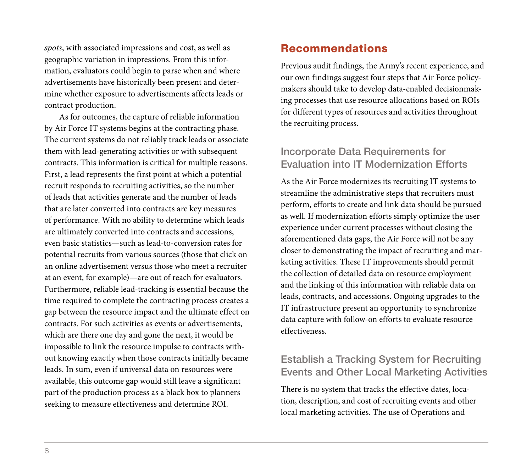*spots*, with associated impressions and cost, as well as geographic variation in impressions. From this information, evaluators could begin to parse when and where advertisements have historically been present and determine whether exposure to advertisements affects leads or contract production.

As for outcomes, the capture of reliable information by Air Force IT systems begins at the contracting phase. The current systems do not reliably track leads or associate them with lead-generating activities or with subsequent contracts. This information is critical for multiple reasons. First, a lead represents the first point at which a potential recruit responds to recruiting activities, so the number of leads that activities generate and the number of leads that are later converted into contracts are key measures of performance. With no ability to determine which leads are ultimately converted into contracts and accessions, even basic statistics—such as lead-to-conversion rates for potential recruits from various sources (those that click on an online advertisement versus those who meet a recruiter at an event, for example)—are out of reach for evaluators. Furthermore, reliable lead-tracking is essential because the time required to complete the contracting process creates a gap between the resource impact and the ultimate effect on contracts. For such activities as events or advertisements, which are there one day and gone the next, it would be impossible to link the resource impulse to contracts without knowing exactly when those contracts initially became leads. In sum, even if universal data on resources were available, this outcome gap would still leave a significant part of the production process as a black box to planners seeking to measure effectiveness and determine ROI.

#### Recommendations

Previous audit findings, the Army's recent experience, and our own findings suggest four steps that Air Force policymakers should take to develop data-enabled decisionmaking processes that use resource allocations based on ROIs for different types of resources and activities throughout the recruiting process.

### Incorporate Data Requirements for Evaluation into IT Modernization Efforts

As the Air Force modernizes its recruiting IT systems to streamline the administrative steps that recruiters must perform, efforts to create and link data should be pursued as well. If modernization efforts simply optimize the user experience under current processes without closing the aforementioned data gaps, the Air Force will not be any closer to demonstrating the impact of recruiting and marketing activities. These IT improvements should permit the collection of detailed data on resource employment and the linking of this information with reliable data on leads, contracts, and accessions. Ongoing upgrades to the IT infrastructure present an opportunity to synchronize data capture with follow-on efforts to evaluate resource effectiveness.

#### Establish a Tracking System for Recruiting Events and Other Local Marketing Activities

There is no system that tracks the effective dates, location, description, and cost of recruiting events and other local marketing activities. The use of Operations and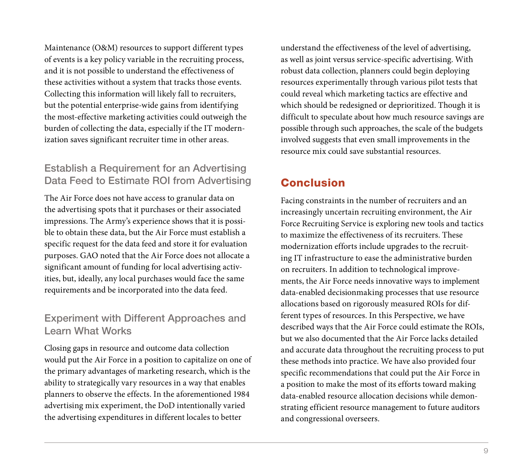Maintenance (O&M) resources to support different types of events is a key policy variable in the recruiting process, and it is not possible to understand the effectiveness of these activities without a system that tracks those events. Collecting this information will likely fall to recruiters, but the potential enterprise-wide gains from identifying the most-effective marketing activities could outweigh the burden of collecting the data, especially if the IT modernization saves significant recruiter time in other areas.

## Establish a Requirement for an Advertising Data Feed to Estimate ROI from Advertising

The Air Force does not have access to granular data on the advertising spots that it purchases or their associated impressions. The Army's experience shows that it is possible to obtain these data, but the Air Force must establish a specific request for the data feed and store it for evaluation purposes. GAO noted that the Air Force does not allocate a significant amount of funding for local advertising activities, but, ideally, any local purchases would face the same requirements and be incorporated into the data feed.

## Experiment with Different Approaches and Learn What Works

Closing gaps in resource and outcome data collection would put the Air Force in a position to capitalize on one of the primary advantages of marketing research, which is the ability to strategically vary resources in a way that enables planners to observe the effects. In the aforementioned 1984 advertising mix experiment, the DoD intentionally varied the advertising expenditures in different locales to better

understand the effectiveness of the level of advertising, as well as joint versus service-specific advertising. With robust data collection, planners could begin deploying resources experimentally through various pilot tests that could reveal which marketing tactics are effective and which should be redesigned or deprioritized. Though it is difficult to speculate about how much resource savings are possible through such approaches, the scale of the budgets involved suggests that even small improvements in the resource mix could save substantial resources.

## Conclusion

Facing constraints in the number of recruiters and an increasingly uncertain recruiting environment, the Air Force Recruiting Service is exploring new tools and tactics to maximize the effectiveness of its recruiters. These modernization efforts include upgrades to the recruiting IT infrastructure to ease the administrative burden on recruiters. In addition to technological improvements, the Air Force needs innovative ways to implement data-enabled decisionmaking processes that use resource allocations based on rigorously measured ROIs for different types of resources. In this Perspective, we have described ways that the Air Force could estimate the ROIs, but we also documented that the Air Force lacks detailed and accurate data throughout the recruiting process to put these methods into practice. We have also provided four specific recommendations that could put the Air Force in a position to make the most of its efforts toward making data-enabled resource allocation decisions while demonstrating efficient resource management to future auditors and congressional overseers.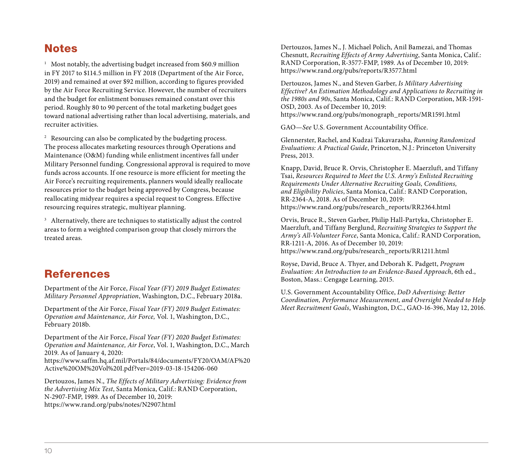#### **Notes**

<sup>1</sup> Most notably, the advertising budget increased from \$60.9 million in FY 2017 to \$114.5 million in FY 2018 (Department of the Air Force, 2019) and remained at over \$92 million, according to figures provided by the Air Force Recruiting Service. However, the number of recruiters and the budget for enlistment bonuses remained constant over this period. Roughly 80 to 90 percent of the total marketing budget goes toward national advertising rather than local advertising, materials, and recruiter activities.

<sup>2</sup> Resourcing can also be complicated by the budgeting process. The process allocates marketing resources through Operations and Maintenance (O&M) funding while enlistment incentives fall under Military Personnel funding. Congressional approval is required to move funds across accounts. If one resource is more efficient for meeting the Air Force's recruiting requirements, planners would ideally reallocate resources prior to the budget being approved by Congress, because reallocating midyear requires a special request to Congress. Effective resourcing requires strategic, multiyear planning.

<sup>3</sup> Alternatively, there are techniques to statistically adjust the control areas to form a weighted comparison group that closely mirrors the treated areas.

## References

Department of the Air Force, *Fiscal Year (FY) 2019 Budget Estimates: Military Personnel Appropriation*, Washington, D.C., February 2018a.

Department of the Air Force, *Fiscal Year (FY) 2019 Budget Estimates: Operation and Maintenance, Air Force,* Vol. 1, Washington, D.C., February 2018b.

Department of the Air Force, *Fiscal Year (FY) 2020 Budget Estimates: Operation and Maintenance, Air Force*, Vol. 1, Washington, D.C., March 2019. As of January 4, 2020:

[https://www.saffm.hq.af.mil/Portals/84/documents/FY20/OAM/AF%20](https://www.saffm.hq.af.mil/Portals/84/documents/FY20/OAM/AF%20Active%20OM%20Vol%20I.pdf?ver=2019-03-18-154206-060) Active%20OM%20Vol%20I.pdf?ver=2019-03-18-154206-060

Dertouzos, James N., *The Effects of Military Advertising: Evidence from the Advertising Mix Test*, Santa Monica, Calif.: RAND Corporation, N-2907-FMP, 1989. As of December 10, 2019: <https://www.rand.org/pubs/notes/N2907.html>

Dertouzos, James N., J. Michael Polich, Anil Bamezai, and Thomas Chesnutt, *Recruiting Effects of Army Advertising*, Santa Monica, Calif.: RAND Corporation, R-3577-FMP, 1989. As of December 10, 2019: <https://www.rand.org/pubs/reports/R3577.html>

Dertouzos, James N., and Steven Garber, *Is Military Advertising Effective? An Estimation Methodology and Applications to Recruiting in the 1980s and 90s*, Santa Monica, Calif.: RAND Corporation, MR-1591- OSD, 2003. As of December 10, 2019: [https://www.rand.org/pubs/monograph\\_reports/MR1591.html](https://www.rand.org/pubs/monograph_reports/MR1591.html)

GAO—*See* U.S. Government Accountability Office.

Glennerster, Rachel, and Kudzai Takavarasha, *Running Randomized Evaluations: A Practical Guide*, Princeton, N.J.: Princeton University Press, 2013.

Knapp, David, Bruce R. Orvis, Christopher E. Maerzluft, and Tiffany Tsai, *Resources Required to Meet the U.S. Army's Enlisted Recruiting Requirements Under Alternative Recruiting Goals, Conditions, and Eligibility Policies*, Santa Monica, Calif.: RAND Corporation, RR-2364-A, 2018. As of December 10, 2019: [https://www.rand.org/pubs/research\\_reports/RR2364.html](https://www.rand.org/pubs/research_reports/RR2364.html)

Orvis, Bruce R., Steven Garber, Philip Hall-Partyka, Christopher E. Maerzluft, and Tiffany Berglund, *Recruiting Strategies to Support the Army's All-Volunteer Force*, Santa Monica, Calif.: RAND Corporation, RR-1211-A, 2016. As of December 10, 2019: [https://www.rand.org/pubs/research\\_reports/RR1211.html](https://www.rand.org/pubs/research_reports/RR1211.html)

Royse, David, Bruce A. Thyer, and Deborah K. Padgett, *Program Evaluation: An Introduction to an Evidence-Based Approach*, 6th ed., Boston, Mass.: Cengage Learning, 2015.

U.S. Government Accountability Office, *DoD Advertising: Better Coordination, Performance Measurement, and Oversight Needed to Help Meet Recruitment Goals*, Washington, D.C., GAO-16-396, May 12, 2016.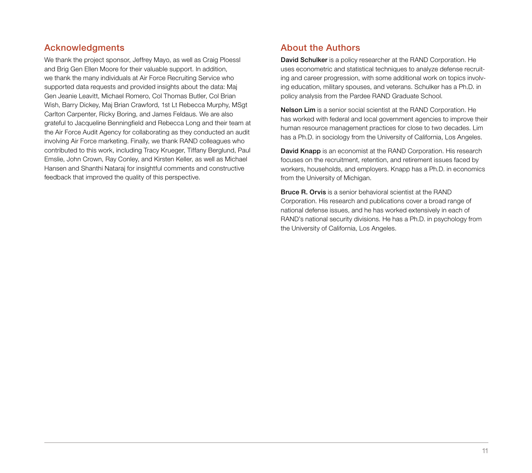#### Acknowledgments

We thank the project sponsor, Jeffrey Mayo, as well as Craig Ploessl and Brig Gen Ellen Moore for their valuable support. In addition, we thank the many individuals at Air Force Recruiting Service who supported data requests and provided insights about the data: Maj Gen Jeanie Leavitt, Michael Romero, Col Thomas Butler, Col Brian Wish, Barry Dickey, Maj Brian Crawford, 1st Lt Rebecca Murphy, MSgt Carlton Carpenter, Ricky Boring, and James Feldaus. We are also grateful to Jacqueline Benningfield and Rebecca Long and their team at the Air Force Audit Agency for collaborating as they conducted an audit involving Air Force marketing. Finally, we thank RAND colleagues who contributed to this work, including Tracy Krueger, Tiffany Berglund, Paul Emslie, John Crown, Ray Conley, and Kirsten Keller, as well as Michael Hansen and Shanthi Nataraj for insightful comments and constructive feedback that improved the quality of this perspective.

#### About the Authors

David Schulker is a policy researcher at the RAND Corporation. He uses econometric and statistical techniques to analyze defense recruiting and career progression, with some additional work on topics involving education, military spouses, and veterans. Schulker has a Ph.D. in policy analysis from the Pardee RAND Graduate School.

Nelson Lim is a senior social scientist at the RAND Corporation. He has worked with federal and local government agencies to improve their human resource management practices for close to two decades. Lim has a Ph.D. in sociology from the University of California, Los Angeles.

David Knapp is an economist at the RAND Corporation. His research focuses on the recruitment, retention, and retirement issues faced by workers, households, and employers. Knapp has a Ph.D. in economics from the University of Michigan.

Bruce R. Orvis is a senior behavioral scientist at the RAND Corporation. His research and publications cover a broad range of national defense issues, and he has worked extensively in each of RAND's national security divisions. He has a Ph.D. in psychology from the University of California, Los Angeles.